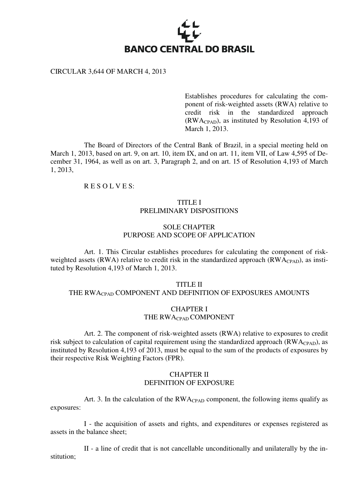

#### CIRCULAR 3,644 OF MARCH 4, 2013

Establishes procedures for calculating the component of risk-weighted assets (RWA) relative to credit risk in the standardized approach (RWACPAD), as instituted by Resolution 4,193 of March 1, 2013.

 The Board of Directors of the Central Bank of Brazil, in a special meeting held on March 1, 2013, based on art. 9, on art. 10, item IX, and on art. 11, item VII, of Law 4,595 of December 31, 1964, as well as on art. 3, Paragraph 2, and on art. 15 of Resolution 4,193 of March 1, 2013,

## R E S O L V E S:

# TITLE I PRELIMINARY DISPOSITIONS

## SOLE CHAPTER PURPOSE AND SCOPE OF APPLICATION

 Art. 1. This Circular establishes procedures for calculating the component of riskweighted assets (RWA) relative to credit risk in the standardized approach (RWA $_{\text{CPAD}}$ ), as instituted by Resolution 4,193 of March 1, 2013.

#### TITLE II

## THE RWA<sub>CPAD</sub> COMPONENT AND DEFINITION OF EXPOSURES AMOUNTS

## CHAPTER I THE RWACPAD COMPONENT

 Art. 2. The component of risk-weighted assets (RWA) relative to exposures to credit risk subject to calculation of capital requirement using the standardized approach ( $\rm{RWA_{CPAD}}$ ), as instituted by Resolution 4,193 of 2013, must be equal to the sum of the products of exposures by their respective Risk Weighting Factors (FPR).

#### CHAPTER II DEFINITION OF EXPOSURE

Art. 3. In the calculation of the  $\text{RWA}_{\text{CPAD}}$  component, the following items qualify as exposures:

 I - the acquisition of assets and rights, and expenditures or expenses registered as assets in the balance sheet;

 II - a line of credit that is not cancellable unconditionally and unilaterally by the institution;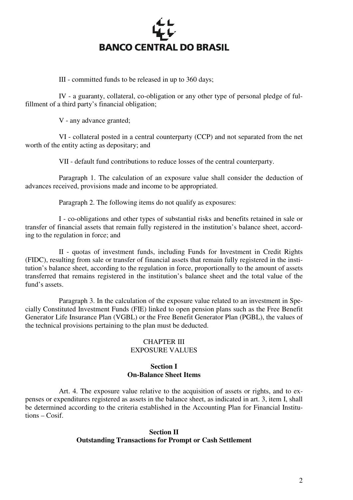

III - committed funds to be released in up to 360 days;

 IV - a guaranty, collateral, co-obligation or any other type of personal pledge of fulfillment of a third party's financial obligation;

V - any advance granted;

 VI - collateral posted in a central counterparty (CCP) and not separated from the net worth of the entity acting as depositary; and

VII - default fund contributions to reduce losses of the central counterparty.

 Paragraph 1. The calculation of an exposure value shall consider the deduction of advances received, provisions made and income to be appropriated.

Paragraph 2. The following items do not qualify as exposures:

 I - co-obligations and other types of substantial risks and benefits retained in sale or transfer of financial assets that remain fully registered in the institution's balance sheet, according to the regulation in force; and

 II - quotas of investment funds, including Funds for Investment in Credit Rights (FIDC), resulting from sale or transfer of financial assets that remain fully registered in the institution's balance sheet, according to the regulation in force, proportionally to the amount of assets transferred that remains registered in the institution's balance sheet and the total value of the fund's assets.

 Paragraph 3. In the calculation of the exposure value related to an investment in Specially Constituted Investment Funds (FIE) linked to open pension plans such as the Free Benefit Generator Life Insurance Plan (VGBL) or the Free Benefit Generator Plan (PGBL), the values of the technical provisions pertaining to the plan must be deducted.

# CHAPTER III EXPOSURE VALUES

# **Section I On-Balance Sheet Items**

 Art. 4. The exposure value relative to the acquisition of assets or rights, and to expenses or expenditures registered as assets in the balance sheet, as indicated in art. 3, item I, shall be determined according to the criteria established in the Accounting Plan for Financial Institutions – Cosif.

# **Section II Outstanding Transactions for Prompt or Cash Settlement**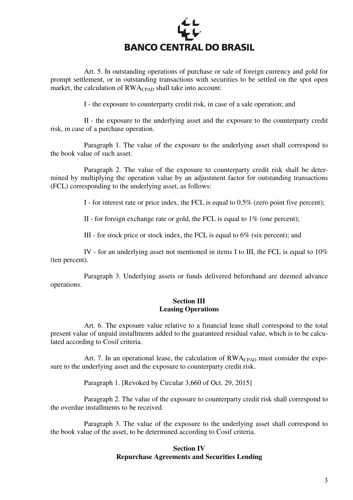

 Art. 5. In outstanding operations of purchase or sale of foreign currency and gold for prompt settlement, or in outstanding transactions with securities to be settled on the spot open market, the calculation of RWA<sub>CPAD</sub> shall take into account:

I - the exposure to counterparty credit risk, in case of a sale operation; and

 II - the exposure to the underlying asset and the exposure to the counterparty credit risk, in case of a purchase operation.

 Paragraph 1. The value of the exposure to the underlying asset shall correspond to the book value of such asset.

 Paragraph 2. The value of the exposure to counterparty credit risk shall be determined by multiplying the operation value by an adjustment factor for outstanding transactions (FCL) corresponding to the underlying asset, as follows:

I - for interest rate or price index, the FCL is equal to 0.5% (zero point five percent);

II - for foreign exchange rate or gold, the FCL is equal to 1% (one percent);

III - for stock price or stock index, the FCL is equal to 6% (six percent); and

 IV - for an underlying asset not mentioned in items I to III, the FCL is equal to 10% (ten percent).

 Paragraph 3. Underlying assets or funds delivered beforehand are deemed advance operations.

# **Section III Leasing Operations**

 Art. 6. The exposure value relative to a financial lease shall correspond to the total present value of unpaid installments added to the guaranteed residual value, which is to be calculated according to Cosif criteria.

Art. 7. In an operational lease, the calculation of RWA<sub>CPAD</sub> must consider the exposure to the underlying asset and the exposure to counterparty credit risk.

Paragraph 1. [Revoked by Circular 3,660 of Oct. 29, 2015]

 Paragraph 2. The value of the exposure to counterparty credit risk shall correspond to the overdue installments to be received.

 Paragraph 3. The value of the exposure to the underlying asset shall correspond to the book value of the asset, to be determined according to Cosif criteria.

# **Section IV Repurchase Agreements and Securities Lending**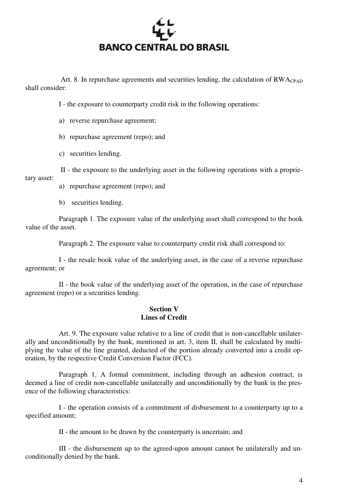

Art. 8. In repurchase agreements and securities lending, the calculation of  $RWA_{CPAD}$ shall consider:

I - the exposure to counterparty credit risk in the following operations:

a) reverse repurchase agreement;

b) repurchase agreement (repo); and

c) securities lending.

 II - the exposure to the underlying asset in the following operations with a proprietary asset:

a) repurchase agreement (repo); and

b) securities lending.

 Paragraph 1. The exposure value of the underlying asset shall correspond to the book value of the asset.

Paragraph 2. The exposure value to counterparty credit risk shall correspond to:

 I - the resale book value of the underlying asset, in the case of a reverse repurchase agreement; or

 II - the book value of the underlying asset of the operation, in the case of repurchase agreement (repo) or a securities lending.

## **Section V Lines of Credit**

 Art. 9. The exposure value relative to a line of credit that is non-cancellable unilaterally and unconditionally by the bank, mentioned in art. 3, item II, shall be calculated by multiplying the value of the line granted, deducted of the portion already converted into a credit operation, by the respective Credit Conversion Factor (FCC).

 Paragraph 1. A formal commitment, including through an adhesion contract, is deemed a line of credit non-cancellable unilaterally and unconditionally by the bank in the presence of the following characteristics:

 I - the operation consists of a commitment of disbursement to a counterparty up to a specified amount;

II - the amount to be drawn by the counterparty is uncertain; and

 III - the disbursement up to the agreed-upon amount cannot be unilaterally and unconditionally denied by the bank.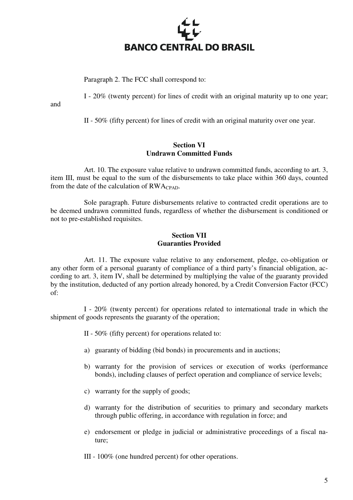

Paragraph 2. The FCC shall correspond to:

I - 20% (twenty percent) for lines of credit with an original maturity up to one year;

and

II - 50% (fifty percent) for lines of credit with an original maturity over one year.

# **Section VI Undrawn Committed Funds**

 Art. 10. The exposure value relative to undrawn committed funds, according to art. 3, item III, must be equal to the sum of the disbursements to take place within 360 days, counted from the date of the calculation of  $RWA_{CPAD}$ .

 Sole paragraph. Future disbursements relative to contracted credit operations are to be deemed undrawn committed funds, regardless of whether the disbursement is conditioned or not to pre-established requisites.

# **Section VII Guaranties Provided**

 Art. 11. The exposure value relative to any endorsement, pledge, co-obligation or any other form of a personal guaranty of compliance of a third party's financial obligation, according to art. 3, item IV, shall be determined by multiplying the value of the guaranty provided by the institution, deducted of any portion already honored, by a Credit Conversion Factor (FCC) of:

 I - 20% (twenty percent) for operations related to international trade in which the shipment of goods represents the guaranty of the operation;

- II 50% (fifty percent) for operations related to:
- a) guaranty of bidding (bid bonds) in procurements and in auctions;
- b) warranty for the provision of services or execution of works (performance bonds), including clauses of perfect operation and compliance of service levels;
- c) warranty for the supply of goods;
- d) warranty for the distribution of securities to primary and secondary markets through public offering, in accordance with regulation in force; and
- e) endorsement or pledge in judicial or administrative proceedings of a fiscal nature;
- III 100% (one hundred percent) for other operations.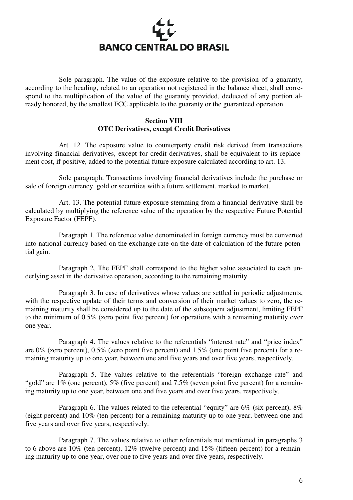

 Sole paragraph. The value of the exposure relative to the provision of a guaranty, according to the heading, related to an operation not registered in the balance sheet, shall correspond to the multiplication of the value of the guaranty provided, deducted of any portion already honored, by the smallest FCC applicable to the guaranty or the guaranteed operation.

# **Section VIII OTC Derivatives, except Credit Derivatives**

 Art. 12. The exposure value to counterparty credit risk derived from transactions involving financial derivatives, except for credit derivatives, shall be equivalent to its replacement cost, if positive, added to the potential future exposure calculated according to art. 13.

 Sole paragraph. Transactions involving financial derivatives include the purchase or sale of foreign currency, gold or securities with a future settlement, marked to market.

 Art. 13. The potential future exposure stemming from a financial derivative shall be calculated by multiplying the reference value of the operation by the respective Future Potential Exposure Factor (FEPF).

 Paragraph 1. The reference value denominated in foreign currency must be converted into national currency based on the exchange rate on the date of calculation of the future potential gain.

 Paragraph 2. The FEPF shall correspond to the higher value associated to each underlying asset in the derivative operation, according to the remaining maturity.

 Paragraph 3. In case of derivatives whose values are settled in periodic adjustments, with the respective update of their terms and conversion of their market values to zero, the remaining maturity shall be considered up to the date of the subsequent adjustment, limiting FEPF to the minimum of 0.5% (zero point five percent) for operations with a remaining maturity over one year.

Paragraph 4. The values relative to the referentials "interest rate" and "price index" are 0% (zero percent), 0.5% (zero point five percent) and 1.5% (one point five percent) for a remaining maturity up to one year, between one and five years and over five years, respectively.

 Paragraph 5. The values relative to the referentials "foreign exchange rate" and "gold" are  $1\%$  (one percent),  $5\%$  (five percent) and  $7.5\%$  (seven point five percent) for a remaining maturity up to one year, between one and five years and over five years, respectively.

Paragraph 6. The values related to the referential "equity" are 6% (six percent), 8% (eight percent) and 10% (ten percent) for a remaining maturity up to one year, between one and five years and over five years, respectively.

 Paragraph 7. The values relative to other referentials not mentioned in paragraphs 3 to 6 above are 10% (ten percent), 12% (twelve percent) and 15% (fifteen percent) for a remaining maturity up to one year, over one to five years and over five years, respectively.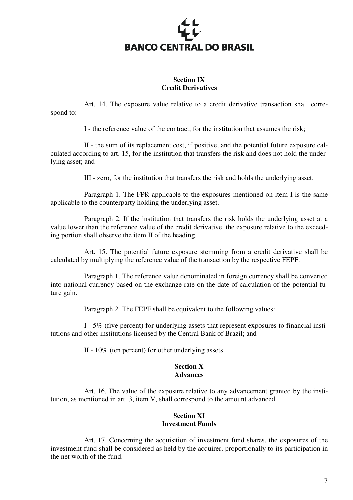

# **Section IX Credit Derivatives**

 Art. 14. The exposure value relative to a credit derivative transaction shall correspond to:

I - the reference value of the contract, for the institution that assumes the risk;

 II - the sum of its replacement cost, if positive, and the potential future exposure calculated according to art. 15, for the institution that transfers the risk and does not hold the underlying asset; and

III - zero, for the institution that transfers the risk and holds the underlying asset.

 Paragraph 1. The FPR applicable to the exposures mentioned on item I is the same applicable to the counterparty holding the underlying asset.

 Paragraph 2. If the institution that transfers the risk holds the underlying asset at a value lower than the reference value of the credit derivative, the exposure relative to the exceeding portion shall observe the item II of the heading.

 Art. 15. The potential future exposure stemming from a credit derivative shall be calculated by multiplying the reference value of the transaction by the respective FEPF.

 Paragraph 1. The reference value denominated in foreign currency shall be converted into national currency based on the exchange rate on the date of calculation of the potential future gain.

Paragraph 2. The FEPF shall be equivalent to the following values:

 I - 5% (five percent) for underlying assets that represent exposures to financial institutions and other institutions licensed by the Central Bank of Brazil; and

II - 10% (ten percent) for other underlying assets.

#### **Section X Advances**

 Art. 16. The value of the exposure relative to any advancement granted by the institution, as mentioned in art. 3, item V, shall correspond to the amount advanced.

# **Section XI Investment Funds**

 Art. 17. Concerning the acquisition of investment fund shares, the exposures of the investment fund shall be considered as held by the acquirer, proportionally to its participation in the net worth of the fund.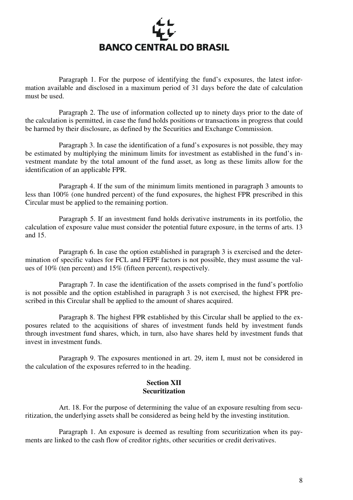

 Paragraph 1. For the purpose of identifying the fund's exposures, the latest information available and disclosed in a maximum period of 31 days before the date of calculation must be used.

 Paragraph 2. The use of information collected up to ninety days prior to the date of the calculation is permitted, in case the fund holds positions or transactions in progress that could be harmed by their disclosure, as defined by the Securities and Exchange Commission.

 Paragraph 3. In case the identification of a fund's exposures is not possible, they may be estimated by multiplying the minimum limits for investment as established in the fund's investment mandate by the total amount of the fund asset, as long as these limits allow for the identification of an applicable FPR.

 Paragraph 4. If the sum of the minimum limits mentioned in paragraph 3 amounts to less than 100% (one hundred percent) of the fund exposures, the highest FPR prescribed in this Circular must be applied to the remaining portion.

 Paragraph 5. If an investment fund holds derivative instruments in its portfolio, the calculation of exposure value must consider the potential future exposure, in the terms of arts. 13 and 15.

 Paragraph 6. In case the option established in paragraph 3 is exercised and the determination of specific values for FCL and FEPF factors is not possible, they must assume the values of 10% (ten percent) and 15% (fifteen percent), respectively.

 Paragraph 7. In case the identification of the assets comprised in the fund's portfolio is not possible and the option established in paragraph 3 is not exercised, the highest FPR prescribed in this Circular shall be applied to the amount of shares acquired.

 Paragraph 8. The highest FPR established by this Circular shall be applied to the exposures related to the acquisitions of shares of investment funds held by investment funds through investment fund shares, which, in turn, also have shares held by investment funds that invest in investment funds.

 Paragraph 9. The exposures mentioned in art. 29, item I, must not be considered in the calculation of the exposures referred to in the heading.

# **Section XII Securitization**

 Art. 18. For the purpose of determining the value of an exposure resulting from securitization, the underlying assets shall be considered as being held by the investing institution.

 Paragraph 1. An exposure is deemed as resulting from securitization when its payments are linked to the cash flow of creditor rights, other securities or credit derivatives.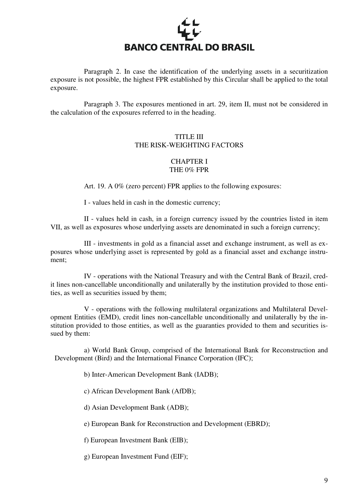

 Paragraph 2. In case the identification of the underlying assets in a securitization exposure is not possible, the highest FPR established by this Circular shall be applied to the total exposure.

 Paragraph 3. The exposures mentioned in art. 29, item II, must not be considered in the calculation of the exposures referred to in the heading.

# TITLE III THE RISK-WEIGHTING FACTORS

# CHAPTER I THE 0% FPR

Art. 19. A 0% (zero percent) FPR applies to the following exposures:

I - values held in cash in the domestic currency;

 II - values held in cash, in a foreign currency issued by the countries listed in item VII, as well as exposures whose underlying assets are denominated in such a foreign currency;

 III - investments in gold as a financial asset and exchange instrument, as well as exposures whose underlying asset is represented by gold as a financial asset and exchange instrument;

 IV - operations with the National Treasury and with the Central Bank of Brazil, credit lines non-cancellable unconditionally and unilaterally by the institution provided to those entities, as well as securities issued by them;

 V - operations with the following multilateral organizations and Multilateral Development Entities (EMD), credit lines non-cancellable unconditionally and unilaterally by the institution provided to those entities, as well as the guaranties provided to them and securities issued by them:

 a) World Bank Group, comprised of the International Bank for Reconstruction and Development (Bird) and the International Finance Corporation (IFC);

b) Inter-American Development Bank (IADB);

c) African Development Bank (AfDB);

d) Asian Development Bank (ADB);

e) European Bank for Reconstruction and Development (EBRD);

f) European Investment Bank (EIB);

g) European Investment Fund (EIF);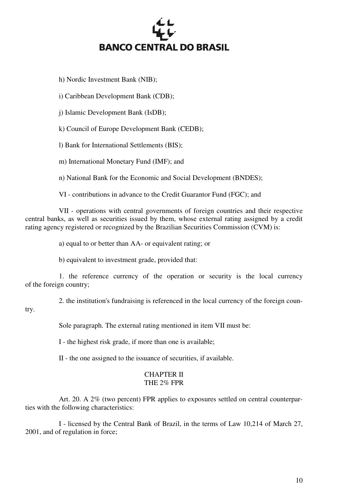# **BANCO CENTRAL DO BRASIL**

h) Nordic Investment Bank (NIB);

i) Caribbean Development Bank (CDB);

j) Islamic Development Bank (IsDB);

k) Council of Europe Development Bank (CEDB);

l) Bank for International Settlements (BIS);

m) International Monetary Fund (IMF); and

n) National Bank for the Economic and Social Development (BNDES);

VI - contributions in advance to the Credit Guarantor Fund (FGC); and

 VII - operations with central governments of foreign countries and their respective central banks, as well as securities issued by them, whose external rating assigned by a credit rating agency registered or recognized by the Brazilian Securities Commission (CVM) is:

a) equal to or better than AA- or equivalent rating; or

b) equivalent to investment grade, provided that:

 1. the reference currency of the operation or security is the local currency of the foreign country;

2. the institution's fundraising is referenced in the local currency of the foreign coun-

# try.

Sole paragraph. The external rating mentioned in item VII must be:

I - the highest risk grade, if more than one is available;

II - the one assigned to the issuance of securities, if available.

#### CHAPTER II THE 2% FPR

 Art. 20. A 2% (two percent) FPR applies to exposures settled on central counterparties with the following characteristics:

 I - licensed by the Central Bank of Brazil, in the terms of Law 10,214 of March 27, 2001, and of regulation in force;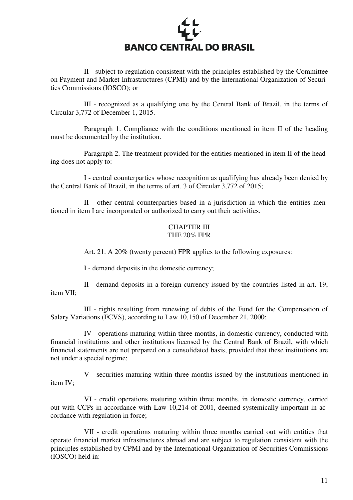

 II - subject to regulation consistent with the principles established by the Committee on Payment and Market Infrastructures (CPMI) and by the International Organization of Securities Commissions (IOSCO); or

 III - recognized as a qualifying one by the Central Bank of Brazil, in the terms of Circular 3,772 of December 1, 2015.

 Paragraph 1. Compliance with the conditions mentioned in item II of the heading must be documented by the institution.

 Paragraph 2. The treatment provided for the entities mentioned in item II of the heading does not apply to:

 I - central counterparties whose recognition as qualifying has already been denied by the Central Bank of Brazil, in the terms of art. 3 of Circular 3,772 of 2015;

 II - other central counterparties based in a jurisdiction in which the entities mentioned in item I are incorporated or authorized to carry out their activities.

## CHAPTER III THE 20% FPR

Art. 21. A 20% (twenty percent) FPR applies to the following exposures:

I - demand deposits in the domestic currency;

 II - demand deposits in a foreign currency issued by the countries listed in art. 19, item VII;

 III - rights resulting from renewing of debts of the Fund for the Compensation of Salary Variations (FCVS), according to Law 10,150 of December 21, 2000;

 IV - operations maturing within three months, in domestic currency, conducted with financial institutions and other institutions licensed by the Central Bank of Brazil, with which financial statements are not prepared on a consolidated basis, provided that these institutions are not under a special regime;

 V - securities maturing within three months issued by the institutions mentioned in item IV;

 VI - credit operations maturing within three months, in domestic currency, carried out with CCPs in accordance with Law 10,214 of 2001, deemed systemically important in accordance with regulation in force;

 VII - credit operations maturing within three months carried out with entities that operate financial market infrastructures abroad and are subject to regulation consistent with the principles established by CPMI and by the International Organization of Securities Commissions (IOSCO) held in: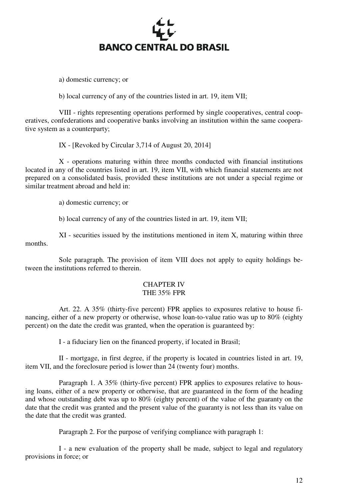

a) domestic currency; or

b) local currency of any of the countries listed in art. 19, item VII;

 VIII - rights representing operations performed by single cooperatives, central cooperatives, confederations and cooperative banks involving an institution within the same cooperative system as a counterparty;

IX - [Revoked by Circular 3,714 of August 20, 2014]

 X - operations maturing within three months conducted with financial institutions located in any of the countries listed in art. 19, item VII, with which financial statements are not prepared on a consolidated basis, provided these institutions are not under a special regime or similar treatment abroad and held in:

a) domestic currency; or

b) local currency of any of the countries listed in art. 19, item VII;

 XI - securities issued by the institutions mentioned in item X, maturing within three months.

 Sole paragraph. The provision of item VIII does not apply to equity holdings between the institutions referred to therein.

#### CHAPTER IV THE 35% FPR

 Art. 22. A 35% (thirty-five percent) FPR applies to exposures relative to house financing, either of a new property or otherwise, whose loan-to-value ratio was up to 80% (eighty percent) on the date the credit was granted, when the operation is guaranteed by:

I - a fiduciary lien on the financed property, if located in Brasil;

 II - mortgage, in first degree, if the property is located in countries listed in art. 19, item VII, and the foreclosure period is lower than 24 (twenty four) months.

 Paragraph 1. A 35% (thirty-five percent) FPR applies to exposures relative to housing loans, either of a new property or otherwise, that are guaranteed in the form of the heading and whose outstanding debt was up to 80% (eighty percent) of the value of the guaranty on the date that the credit was granted and the present value of the guaranty is not less than its value on the date that the credit was granted.

Paragraph 2. For the purpose of verifying compliance with paragraph 1:

 I - a new evaluation of the property shall be made, subject to legal and regulatory provisions in force; or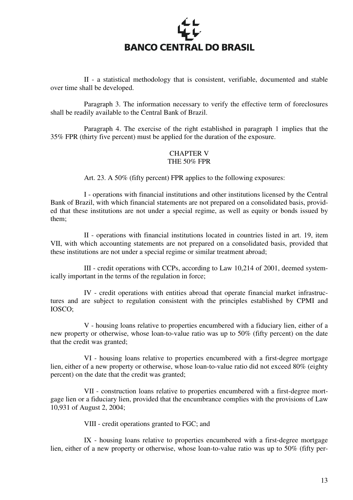

 II - a statistical methodology that is consistent, verifiable, documented and stable over time shall be developed.

 Paragraph 3. The information necessary to verify the effective term of foreclosures shall be readily available to the Central Bank of Brazil.

 Paragraph 4. The exercise of the right established in paragraph 1 implies that the 35% FPR (thirty five percent) must be applied for the duration of the exposure.

# CHAPTER V THE 50% FPR

Art. 23. A 50% (fifty percent) FPR applies to the following exposures:

 I - operations with financial institutions and other institutions licensed by the Central Bank of Brazil, with which financial statements are not prepared on a consolidated basis, provided that these institutions are not under a special regime, as well as equity or bonds issued by them;

 II - operations with financial institutions located in countries listed in art. 19, item VII, with which accounting statements are not prepared on a consolidated basis, provided that these institutions are not under a special regime or similar treatment abroad;

 III - credit operations with CCPs, according to Law 10,214 of 2001, deemed systemically important in the terms of the regulation in force;

 IV - credit operations with entities abroad that operate financial market infrastructures and are subject to regulation consistent with the principles established by CPMI and IOSCO;

 V - housing loans relative to properties encumbered with a fiduciary lien, either of a new property or otherwise, whose loan-to-value ratio was up to 50% (fifty percent) on the date that the credit was granted;

 VI - housing loans relative to properties encumbered with a first-degree mortgage lien, either of a new property or otherwise, whose loan-to-value ratio did not exceed 80% (eighty percent) on the date that the credit was granted;

 VII - construction loans relative to properties encumbered with a first-degree mortgage lien or a fiduciary lien, provided that the encumbrance complies with the provisions of Law 10,931 of August 2, 2004;

VIII - credit operations granted to FGC; and

 IX - housing loans relative to properties encumbered with a first-degree mortgage lien, either of a new property or otherwise, whose loan-to-value ratio was up to 50% (fifty per-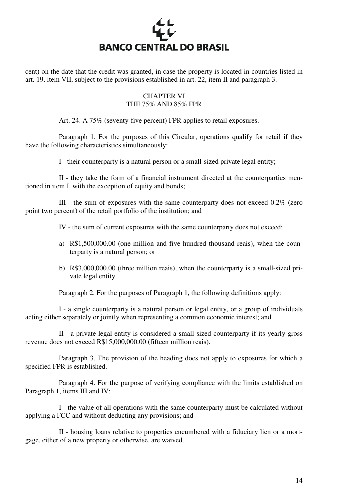

cent) on the date that the credit was granted, in case the property is located in countries listed in art. 19, item VII, subject to the provisions established in art. 22, item II and paragraph 3.

# CHAPTER VI THE 75% AND 85% FPR

Art. 24. A 75% (seventy-five percent) FPR applies to retail exposures.

 Paragraph 1. For the purposes of this Circular, operations qualify for retail if they have the following characteristics simultaneously:

I - their counterparty is a natural person or a small-sized private legal entity;

 II - they take the form of a financial instrument directed at the counterparties mentioned in item I, with the exception of equity and bonds;

 III - the sum of exposures with the same counterparty does not exceed 0.2% (zero point two percent) of the retail portfolio of the institution; and

IV - the sum of current exposures with the same counterparty does not exceed:

- a) R\$1,500,000.00 (one million and five hundred thousand reais), when the counterparty is a natural person; or
- b) R\$3,000,000.00 (three million reais), when the counterparty is a small-sized private legal entity.

Paragraph 2. For the purposes of Paragraph 1, the following definitions apply:

 I - a single counterparty is a natural person or legal entity, or a group of individuals acting either separately or jointly when representing a common economic interest; and

 II - a private legal entity is considered a small-sized counterparty if its yearly gross revenue does not exceed R\$15,000,000.00 (fifteen million reais).

 Paragraph 3. The provision of the heading does not apply to exposures for which a specified FPR is established.

 Paragraph 4. For the purpose of verifying compliance with the limits established on Paragraph 1, items III and IV:

 I - the value of all operations with the same counterparty must be calculated without applying a FCC and without deducting any provisions; and

 II - housing loans relative to properties encumbered with a fiduciary lien or a mortgage, either of a new property or otherwise, are waived.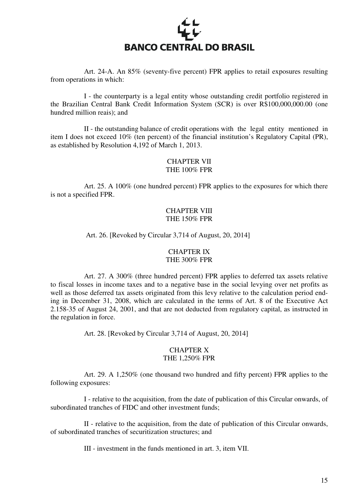

 Art. 24-A. An 85% (seventy-five percent) FPR applies to retail exposures resulting from operations in which:

 I - the counterparty is a legal entity whose outstanding credit portfolio registered in the Brazilian Central Bank Credit Information System (SCR) is over R\$100,000,000.00 (one hundred million reais); and

 II - the outstanding balance of credit operations with the legal entity mentioned in item I does not exceed 10% (ten percent) of the financial institution's Regulatory Capital (PR), as established by Resolution 4,192 of March 1, 2013.

# CHAPTER VII THE 100% FPR

 Art. 25. A 100% (one hundred percent) FPR applies to the exposures for which there is not a specified FPR.

# CHAPTER VIII THE 150% FPR

#### Art. 26. [Revoked by Circular 3,714 of August, 20, 2014]

# CHAPTER IX THE 300% FPR

 Art. 27. A 300% (three hundred percent) FPR applies to deferred tax assets relative to fiscal losses in income taxes and to a negative base in the social levying over net profits as well as those deferred tax assets originated from this levy relative to the calculation period ending in December 31, 2008, which are calculated in the terms of Art. 8 of the Executive Act 2.158-35 of August 24, 2001, and that are not deducted from regulatory capital, as instructed in the regulation in force.

Art. 28. [Revoked by Circular 3,714 of August, 20, 2014]

## CHAPTER X THE 1,250% FPR

 Art. 29. A 1,250% (one thousand two hundred and fifty percent) FPR applies to the following exposures:

 I - relative to the acquisition, from the date of publication of this Circular onwards, of subordinated tranches of FIDC and other investment funds;

 II - relative to the acquisition, from the date of publication of this Circular onwards, of subordinated tranches of securitization structures; and

III - investment in the funds mentioned in art. 3, item VII.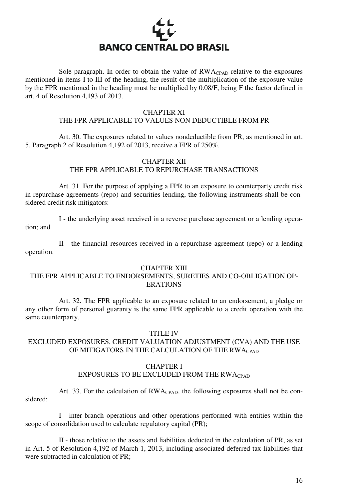

Sole paragraph. In order to obtain the value of  $RWA_{CPAD}$  relative to the exposures mentioned in items I to III of the heading, the result of the multiplication of the exposure value by the FPR mentioned in the heading must be multiplied by 0.08/F, being F the factor defined in art. 4 of Resolution 4,193 of 2013.

#### CHAPTER XI

# THE FPR APPLICABLE TO VALUES NON DEDUCTIBLE FROM PR

 Art. 30. The exposures related to values nondeductible from PR, as mentioned in art. 5, Paragraph 2 of Resolution 4,192 of 2013, receive a FPR of 250%.

# CHAPTER XII THE FPR APPLICABLE TO REPURCHASE TRANSACTIONS

Art. 31. For the purpose of applying a FPR to an exposure to counterparty credit risk in repurchase agreements (repo) and securities lending, the following instruments shall be considered credit risk mitigators:

 I - the underlying asset received in a reverse purchase agreement or a lending operation; and

 II - the financial resources received in a repurchase agreement (repo) or a lending operation.

#### CHAPTER XIII

# THE FPR APPLICABLE TO ENDORSEMENTS, SURETIES AND CO-OBLIGATION OP-ERATIONS

 Art. 32. The FPR applicable to an exposure related to an endorsement, a pledge or any other form of personal guaranty is the same FPR applicable to a credit operation with the same counterparty.

#### TITLE IV

# EXCLUDED EXPOSURES, CREDIT VALUATION ADJUSTMENT (CVA) AND THE USE OF MITIGATORS IN THE CALCULATION OF THE RWACPAD

#### CHAPTER I

# EXPOSURES TO BE EXCLUDED FROM THE RWACPAD

Art. 33. For the calculation of RWA<sub>CPAD</sub>, the following exposures shall not be considered:

 I - inter-branch operations and other operations performed with entities within the scope of consolidation used to calculate regulatory capital (PR);

 II - those relative to the assets and liabilities deducted in the calculation of PR, as set in Art. 5 of Resolution 4,192 of March 1, 2013, including associated deferred tax liabilities that were subtracted in calculation of PR;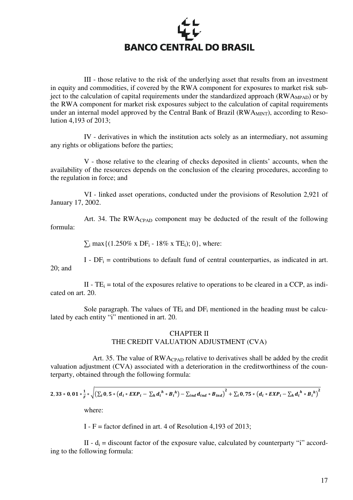

 III - those relative to the risk of the underlying asset that results from an investment in equity and commodities, if covered by the RWA component for exposures to market risk subject to the calculation of capital requirements under the standardized approach ( $\overline{RWA_{MPAD}}$ ) or by the RWA component for market risk exposures subject to the calculation of capital requirements under an internal model approved by the Central Bank of Brazil ( $RWA<sub>MINT</sub>$ ), according to Resolution 4,193 of 2013;

 IV - derivatives in which the institution acts solely as an intermediary, not assuming any rights or obligations before the parties;

 V - those relative to the clearing of checks deposited in clients' accounts, when the availability of the resources depends on the conclusion of the clearing procedures, according to the regulation in force; and

VI - linked asset operations, conducted under the provisions of Resolution 2,921 of January 17, 2002.

 Art. 34. The RWACPAD component may be deducted of the result of the following formula:

 $\Sigma_i$  max {(1.250% x DF<sub>i</sub> - 18% x TE<sub>i</sub>); 0}, where:

 $I$  -  $DF_i$  = contributions to default fund of central counterparties, as indicated in art. 20; and

II -  $TE_i$  = total of the exposures relative to operations to be cleared in a CCP, as indicated on art. 20.

Sole paragraph. The values of  $TE_i$  and  $DF_i$  mentioned in the heading must be calculated by each entity "i" mentioned in art. 20.

## CHAPTER II THE CREDIT VALUATION ADJUSTMENT (CVA)

Art. 35. The value of RWACPAD relative to derivatives shall be added by the credit valuation adjustment (CVA) associated with a deterioration in the creditworthiness of the counterparty, obtained through the following formula:

2, 33 \* 0, 01 \* 
$$
\frac{1}{F}
$$
 \*  $\sqrt{(\sum_{i} 0, 5 * (d_i * EXP_i - \sum_{h} d_i^h * B_i^h) - \sum_{ind} d_{ind} * B_{ind})^2 + \sum_{i} 0, 75 * (d_i * EXP_i - \sum_{h} d_i^h * B_i^h)^2}$   
where:

I - F = factor defined in art. 4 of Resolution 4,193 of 2013;

II -  $d_i$  = discount factor of the exposure value, calculated by counterparty "i" according to the following formula: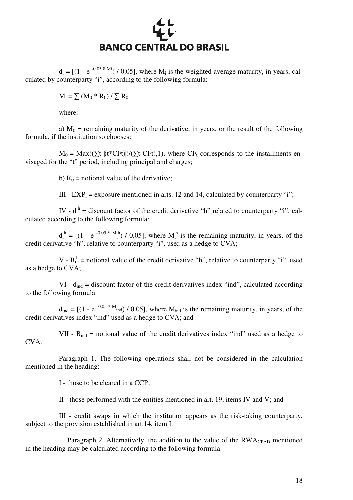# **BANCO CENTRAL DO BRASIL**

 d<sup>i</sup>  $=$  [(1 - e<sup>-0.05 8 Mi</sup>) / 0.05], where M<sub>i</sub> is the weighted average maturity, in years, calculated by counterparty "i", according to the following formula:

 $M_i = \sum (M_0 * R_0) / \sum R_0$ 

where:

a)  $M_0$  = remaining maturity of the derivative, in years, or the result of the following formula, if the institution so chooses:

 $M_0 = Max((\sum t [\tbinom{t*}CFt])/(\sum t CFt), 1)$ , where  $CF_t$  corresponds to the installments envisaged for the "t" period, including principal and charges;

b)  $R_0$  = notional value of the derivative;

III -  $EXP_i$  = exposure mentioned in arts. 12 and 14, calculated by counterparty "i";

IV -  $d_i^h$  = discount factor of the credit derivative "h" related to counterparty "i", calculated according to the following formula:

 $d_i^h = [(1 - e^{-0.05 \cdot k} \tbinom{m}{i} / 0.05],$  where  $M_i^h$  is the remaining maturity, in years, of the credit derivative "h", relative to counterparty "i", used as a hedge to CVA;

V -  $B_i^h$  = notional value of the credit derivative "h", relative to counterparty "i", used as a hedge to CVA;

 $VI - d_{ind}$  = discount factor of the credit derivatives index "ind", calculated according to the following formula:

 $d_{\text{ind}} = [(1 - e^{-0.05 \cdot M_{\text{ind}}}) / 0.05]$ , where  $M_{\text{ind}}$  is the remaining maturity, in years, of the credit derivatives index "ind" used as a hedge to CVA; and

VII -  $B_{ind}$  = notional value of the credit derivatives index "ind" used as a hedge to CVA.

 Paragraph 1. The following operations shall not be considered in the calculation mentioned in the heading:

I - those to be cleared in a CCP;

II - those performed with the entities mentioned in art. 19, items IV and V; and

 III - credit swaps in which the institution appears as the risk-taking counterparty, subject to the provision established in art.14, item I.

Paragraph 2. Alternatively, the addition to the value of the  $RWA_{CPAD}$  mentioned in the heading may be calculated according to the following formula: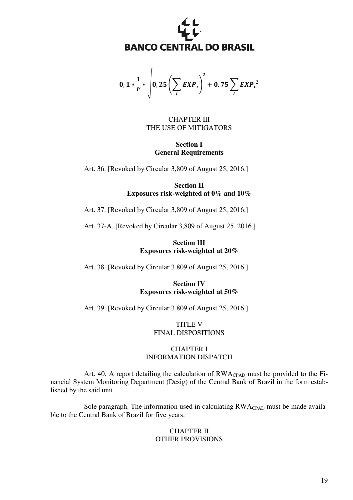

 $0, 1*$  $\mathbf{1}$  $\overline{F}^* \left| \begin{matrix} 0,25 \end{matrix} \right| \sum_i EXP_i$ i  $\overline{\phantom{a}}$  $\mathbf{z}$  $+$  0, 75  $\sum_{i} EXP_i^2$ i

## CHAPTER III THE USE OF MITIGATORS

**Section I General Requirements** 

Art. 36. [Revoked by Circular 3,809 of August 25, 2016.]

**Section II Exposures risk-weighted at 0% and 10%** 

Art. 37. [Revoked by Circular 3,809 of August 25, 2016.]

Art. 37-A. [Revoked by Circular 3,809 of August 25, 2016.]

**Section III Exposures risk-weighted at 20%** 

Art. 38. [Revoked by Circular 3,809 of August 25, 2016.]

**Section IV Exposures risk-weighted at 50%** 

Art. 39. [Revoked by Circular 3,809 of August 25, 2016.]

TITLE V FINAL DISPOSITIONS

# CHAPTER I INFORMATION DISPATCH

 Art. 40. A report detailing the calculation of RWACPAD must be provided to the Financial System Monitoring Department (Desig) of the Central Bank of Brazil in the form established by the said unit.

Sole paragraph. The information used in calculating  $RWA_{CPAD}$  must be made available to the Central Bank of Brazil for five years.

# CHAPTER II OTHER PROVISIONS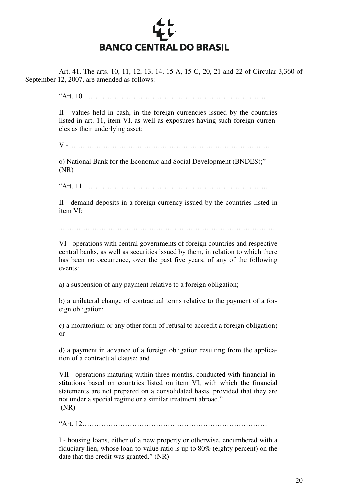

 Art. 41. The arts. 10, 11, 12, 13, 14, 15-A, 15-C, 20, 21 and 22 of Circular 3,360 of September 12, 2007, are amended as follows:

"Art. 10. ………………………………………………………………….

II - values held in cash, in the foreign currencies issued by the countries listed in art. 11, item VI, as well as exposures having such foreign currencies as their underlying asset:

V - ..................................................................................................................

o) National Bank for the Economic and Social Development (BNDES);" (NR)

"Art. 11. …………………………………………………………………..

II - demand deposits in a foreign currency issued by the countries listed in item VI:

VI - operations with central governments of foreign countries and respective central banks, as well as securities issued by them, in relation to which there has been no occurrence, over the past five years, of any of the following events:

a) a suspension of any payment relative to a foreign obligation;

b) a unilateral change of contractual terms relative to the payment of a foreign obligation;

c) a moratorium or any other form of refusal to accredit a foreign obligation**;**  or

d) a payment in advance of a foreign obligation resulting from the application of a contractual clause; and

VII - operations maturing within three months, conducted with financial institutions based on countries listed on item VI, with which the financial statements are not prepared on a consolidated basis, provided that they are not under a special regime or a similar treatment abroad." (NR)

"Art. 12……………………………………………………………………

I - housing loans, either of a new property or otherwise, encumbered with a fiduciary lien, whose loan-to-value ratio is up to 80% (eighty percent) on the date that the credit was granted." (NR)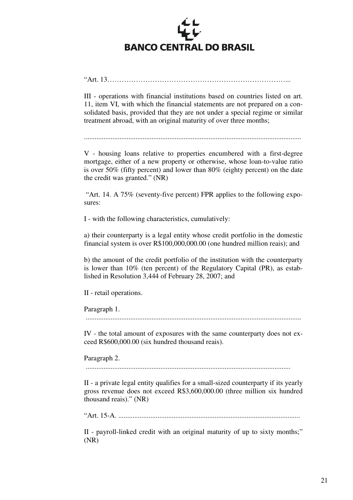

"Art. 13…………………………………………………………………...

III - operations with financial institutions based on countries listed on art. 11, item VI, with which the financial statements are not prepared on a consolidated basis, provided that they are not under a special regime or similar treatment abroad, with an original maturity of over three months;

..........................................................................................................................

V - housing loans relative to properties encumbered with a first-degree mortgage, either of a new property or otherwise, whose loan-to-value ratio is over 50% (fifty percent) and lower than 80% (eighty percent) on the date the credit was granted." (NR)

 "Art. 14. A 75% (seventy-five percent) FPR applies to the following exposures:

I - with the following characteristics, cumulatively:

a) their counterparty is a legal entity whose credit portfolio in the domestic financial system is over R\$100,000,000.00 (one hundred million reais); and

b) the amount of the credit portfolio of the institution with the counterparty is lower than 10% (ten percent) of the Regulatory Capital (PR), as established in Resolution 3,444 of February 28, 2007; and

II - retail operations.

Paragraph 1.

.........................................................................................................................

IV - the total amount of exposures with the same counterparty does not exceed R\$600,000.00 (six hundred thousand reais).

Paragraph 2.

...................................................................................................................

II - a private legal entity qualifies for a small-sized counterparty if its yearly gross revenue does not exceed R\$3,600,000.00 (three million six hundred thousand reais)." (NR)

"Art. 15-A. ......................................................................................................

II - payroll-linked credit with an original maturity of up to sixty months;" (NR)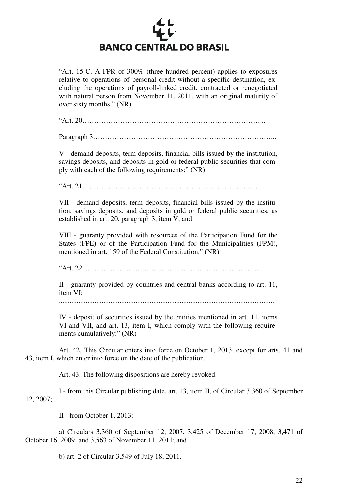

"Art. 15-C. A FPR of 300% (three hundred percent) applies to exposures relative to operations of personal credit without a specific destination, excluding the operations of payroll-linked credit, contracted or renegotiated with natural person from November 11, 2011, with an original maturity of over sixty months." (NR)

"Art. 20…………………………………………………………………...

Paragraph 3…………………………………………………………………...

V - demand deposits, term deposits, financial bills issued by the institution, savings deposits, and deposits in gold or federal public securities that comply with each of the following requirements:" (NR)

"Art. 21………………………………………………………………….

VII - demand deposits, term deposits, financial bills issued by the institution, savings deposits, and deposits in gold or federal public securities, as established in art. 20, paragraph 3, item V; and

VIII - guaranty provided with resources of the Participation Fund for the States (FPE) or of the Participation Fund for the Municipalities (FPM), mentioned in art. 159 of the Federal Constitution." (NR)

"Art. 22. ..................................................................................................

II - guaranty provided by countries and central banks according to art. 11, item VI;

..........................................................................................................................

IV - deposit of securities issued by the entities mentioned in art. 11, items VI and VII, and art. 13, item I, which comply with the following requirements cumulatively:" (NR)

 Art. 42. This Circular enters into force on October 1, 2013, except for arts. 41 and 43, item I, which enter into force on the date of the publication.

Art. 43. The following dispositions are hereby revoked:

 I - from this Circular publishing date, art. 13, item II, of Circular 3,360 of September 12, 2007;

II - from October 1, 2013:

 a) Circulars 3,360 of September 12, 2007, 3,425 of December 17, 2008, 3,471 of October 16, 2009, and 3,563 of November 11, 2011; and

b) art. 2 of Circular 3,549 of July 18, 2011.